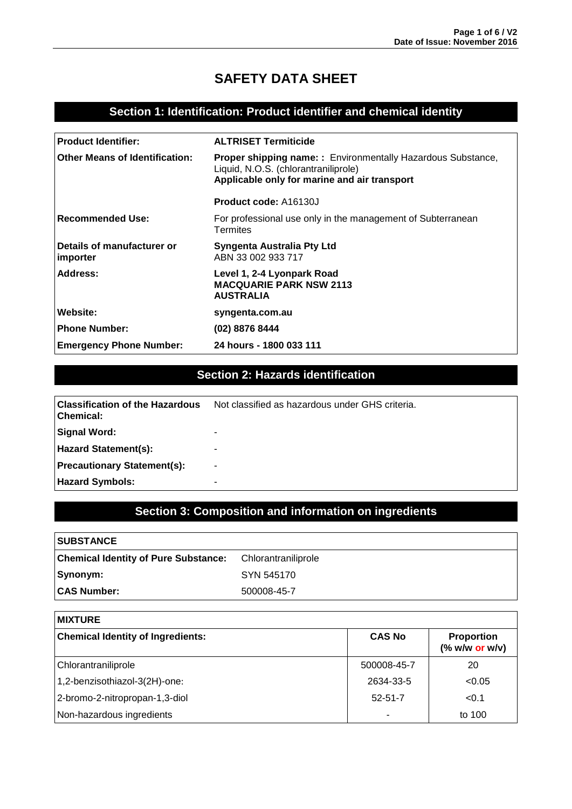# **SAFETY DATA SHEET**

### **Section 1: Identification: Product identifier and chemical identity**

| <b>Product Identifier:</b>             | <b>ALTRISET Termiticide</b>                                                                                                                                 |
|----------------------------------------|-------------------------------------------------------------------------------------------------------------------------------------------------------------|
| <b>Other Means of Identification:</b>  | <b>Proper shipping name:</b> : Environmentally Hazardous Substance,<br>Liquid, N.O.S. (chlorantraniliprole)<br>Applicable only for marine and air transport |
|                                        | <b>Product code: A16130J</b>                                                                                                                                |
| Recommended Use:                       | For professional use only in the management of Subterranean<br>Termites                                                                                     |
| Details of manufacturer or<br>importer | Syngenta Australia Pty Ltd<br>ABN 33 002 933 717                                                                                                            |
| Address:                               | Level 1, 2-4 Lyonpark Road<br><b>MACQUARIE PARK NSW 2113</b><br><b>AUSTRALIA</b>                                                                            |
| Website:                               | syngenta.com.au                                                                                                                                             |
| <b>Phone Number:</b>                   | (02) 8876 8444                                                                                                                                              |
| <b>Emergency Phone Number:</b>         | 24 hours - 1800 033 111                                                                                                                                     |

## **Section 2: Hazards identification**

| l Classification of the Hazardous<br>  Chemical: | Not classified as hazardous under GHS criteria. |
|--------------------------------------------------|-------------------------------------------------|
| Signal Word:                                     | -                                               |
| <b>Hazard Statement(s):</b>                      | -                                               |
| Precautionary Statement(s):                      | $\overline{\phantom{0}}$                        |
| <b>Hazard Symbols:</b>                           | -                                               |

# **Section 3: Composition and information on ingredients**

| <b>SUBSTANCE</b>                            |                     |
|---------------------------------------------|---------------------|
| <b>Chemical Identity of Pure Substance:</b> | Chlorantraniliprole |
| Synonym:                                    | SYN 545170          |
| <b>CAS Number:</b>                          | 500008-45-7         |

| <b>MIXTURE</b>                           |               |                                                                                  |
|------------------------------------------|---------------|----------------------------------------------------------------------------------|
| <b>Chemical Identity of Ingredients:</b> | <b>CAS No</b> | <b>Proportion</b><br>$(% \mathcal{L}_{0} \times \mathcal{L}_{1})$ (% w/w or w/v) |
| Chlorantraniliprole                      | 500008-45-7   | 20                                                                               |
| 1,2-benzisothiazol-3(2H)-one:            | 2634-33-5     | < 0.05                                                                           |
| 2-bromo-2-nitropropan-1,3-diol           | $52 - 51 - 7$ | < 0.1                                                                            |
| Non-hazardous ingredients                |               | to 100                                                                           |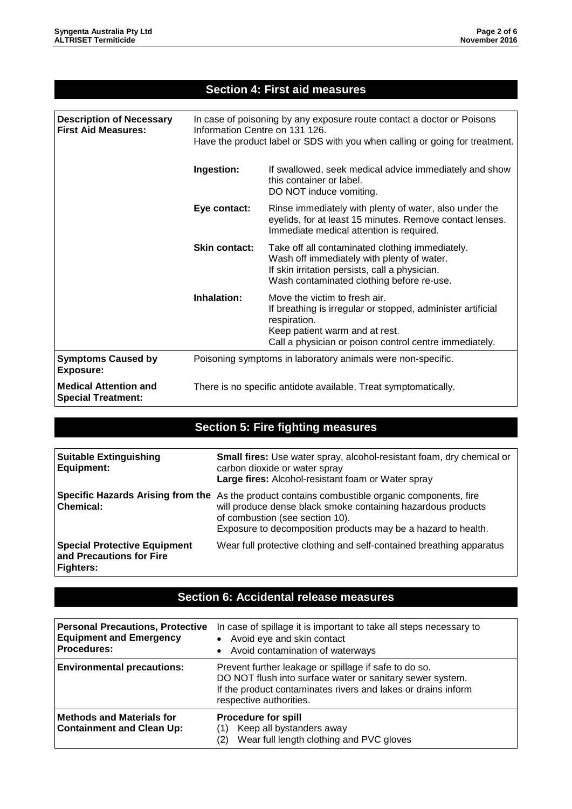### **Section 4: First aid measures**

| <b>Description of Necessary</b><br><b>First Aid Measures:</b> | In case of poisoning by any exposure route contact a doctor or Poisons<br>Information Centre on 131 126.<br>Have the product label or SDS with you when calling or going for treatment.                              |                                                                                                                                                                                                          |  |  |
|---------------------------------------------------------------|----------------------------------------------------------------------------------------------------------------------------------------------------------------------------------------------------------------------|----------------------------------------------------------------------------------------------------------------------------------------------------------------------------------------------------------|--|--|
|                                                               | Ingestion:<br>If swallowed, seek medical advice immediately and show<br>this container or label.<br>DO NOT induce vomiting.                                                                                          |                                                                                                                                                                                                          |  |  |
|                                                               | Eye contact:<br>Rinse immediately with plenty of water, also under the<br>eyelids, for at least 15 minutes. Remove contact lenses.<br>Immediate medical attention is required.                                       |                                                                                                                                                                                                          |  |  |
|                                                               | <b>Skin contact:</b><br>Take off all contaminated clothing immediately.<br>Wash off immediately with plenty of water.<br>If skin irritation persists, call a physician.<br>Wash contaminated clothing before re-use. |                                                                                                                                                                                                          |  |  |
|                                                               | Inhalation:                                                                                                                                                                                                          | Move the victim to fresh air.<br>If breathing is irregular or stopped, administer artificial<br>respiration.<br>Keep patient warm and at rest.<br>Call a physician or poison control centre immediately. |  |  |
| <b>Symptoms Caused by</b><br>Exposure:                        | Poisoning symptoms in laboratory animals were non-specific.                                                                                                                                                          |                                                                                                                                                                                                          |  |  |
| <b>Medical Attention and</b><br><b>Special Treatment:</b>     | There is no specific antidote available. Treat symptomatically.                                                                                                                                                      |                                                                                                                                                                                                          |  |  |

# **Section 5: Fire fighting measures**

| <b>Suitable Extinguishing</b><br>Equipment:                                         | Small fires: Use water spray, alcohol-resistant foam, dry chemical or<br>carbon dioxide or water spray<br>Large fires: Alcohol-resistant foam or Water spray                                                                                                       |
|-------------------------------------------------------------------------------------|--------------------------------------------------------------------------------------------------------------------------------------------------------------------------------------------------------------------------------------------------------------------|
| <b>Chemical:</b>                                                                    | Specific Hazards Arising from the As the product contains combustible organic components, fire<br>will produce dense black smoke containing hazardous products<br>of combustion (see section 10).<br>Exposure to decomposition products may be a hazard to health. |
| <b>Special Protective Equipment</b><br>and Precautions for Fire<br><b>Fighters:</b> | Wear full protective clothing and self-contained breathing apparatus                                                                                                                                                                                               |

### **Section 6: Accidental release measures**

| <b>Personal Precautions, Protective</b><br><b>Equipment and Emergency</b><br><b>Procedures:</b> | In case of spillage it is important to take all steps necessary to<br>• Avoid eye and skin contact<br>• Avoid contamination of waterways                                                                       |  |
|-------------------------------------------------------------------------------------------------|----------------------------------------------------------------------------------------------------------------------------------------------------------------------------------------------------------------|--|
| <b>Environmental precautions:</b>                                                               | Prevent further leakage or spillage if safe to do so.<br>DO NOT flush into surface water or sanitary sewer system.<br>If the product contaminates rivers and lakes or drains inform<br>respective authorities. |  |
| <b>Methods and Materials for</b><br><b>Containment and Clean Up:</b>                            | <b>Procedure for spill</b><br>Keep all bystanders away<br>Wear full length clothing and PVC gloves                                                                                                             |  |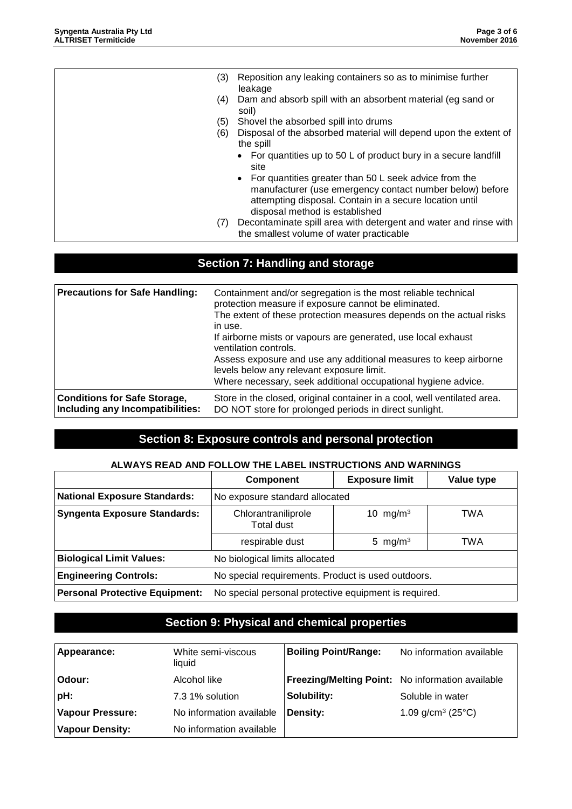| (3) | Reposition any leaking containers so as to minimise further<br>leakage                                                                                                                                           |
|-----|------------------------------------------------------------------------------------------------------------------------------------------------------------------------------------------------------------------|
| (4) | Dam and absorb spill with an absorbent material (eg sand or<br>soil)                                                                                                                                             |
| (5) | Shovel the absorbed spill into drums                                                                                                                                                                             |
| (6) | Disposal of the absorbed material will depend upon the extent of<br>the spill                                                                                                                                    |
|     | • For quantities up to 50 L of product bury in a secure landfill<br>site                                                                                                                                         |
|     | • For quantities greater than 50 L seek advice from the<br>manufacturer (use emergency contact number below) before<br>attempting disposal. Contain in a secure location until<br>disposal method is established |
| (7) | Decontaminate spill area with detergent and water and rinse with<br>the smallest volume of water practicable                                                                                                     |

# **Section 7: Handling and storage**

| <b>Precautions for Safe Handling:</b> | Containment and/or segregation is the most reliable technical<br>protection measure if exposure cannot be eliminated.<br>The extent of these protection measures depends on the actual risks<br>in use.<br>If airborne mists or vapours are generated, use local exhaust<br>ventilation controls.<br>Assess exposure and use any additional measures to keep airborne<br>levels below any relevant exposure limit.<br>Where necessary, seek additional occupational hygiene advice. |
|---------------------------------------|-------------------------------------------------------------------------------------------------------------------------------------------------------------------------------------------------------------------------------------------------------------------------------------------------------------------------------------------------------------------------------------------------------------------------------------------------------------------------------------|
| <b>Conditions for Safe Storage,</b>   | Store in the closed, original container in a cool, well ventilated area.                                                                                                                                                                                                                                                                                                                                                                                                            |
| Including any Incompatibilities:      | DO NOT store for prolonged periods in direct sunlight.                                                                                                                                                                                                                                                                                                                                                                                                                              |

## **Section 8: Exposure controls and personal protection**

#### **ALWAYS READ AND FOLLOW THE LABEL INSTRUCTIONS AND WARNINGS**

|                                       | <b>Component</b>                                        | <b>Exposure limit</b> | Value type |
|---------------------------------------|---------------------------------------------------------|-----------------------|------------|
| <b>National Exposure Standards:</b>   | No exposure standard allocated                          |                       |            |
| <b>Syngenta Exposure Standards:</b>   | Chlorantraniliprole<br>TWA<br>10 mg/m $3$<br>Total dust |                       |            |
|                                       | respirable dust                                         | 5 mg/m <sup>3</sup>   | TWA        |
| <b>Biological Limit Values:</b>       | No biological limits allocated                          |                       |            |
| <b>Engineering Controls:</b>          | No special requirements. Product is used outdoors.      |                       |            |
| <b>Personal Protective Equipment:</b> | No special personal protective equipment is required.   |                       |            |

# **Section 9: Physical and chemical properties**

| Appearance:             | White semi-viscous<br>liquid | <b>Boiling Point/Range:</b>                      | No information available |
|-------------------------|------------------------------|--------------------------------------------------|--------------------------|
| Odour:                  | Alcohol like                 | Freezing/Melting Point: No information available |                          |
| pH:                     | 7.3 1% solution              | Solubility:                                      | Soluble in water         |
| <b>Vapour Pressure:</b> | No information available     | Density:                                         | 1.09 $g/cm^3$ (25 $°C$ ) |
| <b>Vapour Density:</b>  | No information available     |                                                  |                          |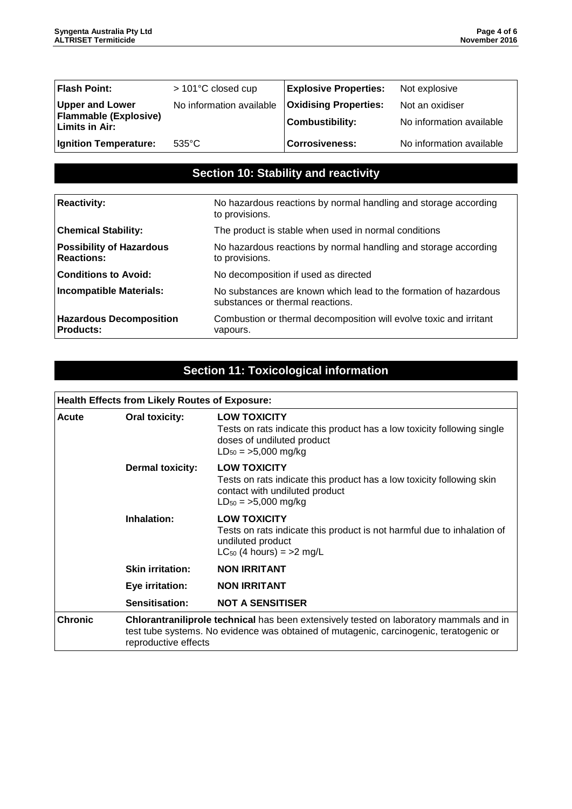| Flash Point:                                   | > 101°C closed cup       | <b>Explosive Properties:</b> | Not explosive            |
|------------------------------------------------|--------------------------|------------------------------|--------------------------|
| <b>Upper and Lower</b>                         | No information available | <b>Oxidising Properties:</b> | Not an oxidiser          |
| Flammable (Explosive)<br><b>Limits in Air:</b> |                          | <b>Combustibility:</b>       | No information available |
| Ignition Temperature:                          | $535^{\circ}$ C          | <b>Corrosiveness:</b>        | No information available |

## **Section 10: Stability and reactivity**

| <b>Reactivity:</b>                                   | No hazardous reactions by normal handling and storage according<br>to provisions.                    |
|------------------------------------------------------|------------------------------------------------------------------------------------------------------|
| <b>Chemical Stability:</b>                           | The product is stable when used in normal conditions                                                 |
| <b>Possibility of Hazardous</b><br><b>Reactions:</b> | No hazardous reactions by normal handling and storage according<br>to provisions.                    |
| <b>Conditions to Avoid:</b>                          | No decomposition if used as directed                                                                 |
| Incompatible Materials:                              | No substances are known which lead to the formation of hazardous<br>substances or thermal reactions. |
| <b>Hazardous Decomposition</b><br>Products:          | Combustion or thermal decomposition will evolve toxic and irritant<br>vapours.                       |

# **Section 11: Toxicological information**

# **Health Effects from Likely Routes of Exposure:**

| <b>Acute</b>   | <b>Oral toxicity:</b>   | <b>LOW TOXICITY</b><br>Tests on rats indicate this product has a low toxicity following single<br>doses of undiluted product<br>$LD_{50} = 5,000$ mg/kg                          |
|----------------|-------------------------|----------------------------------------------------------------------------------------------------------------------------------------------------------------------------------|
|                | <b>Dermal toxicity:</b> | <b>LOW TOXICITY</b><br>Tests on rats indicate this product has a low toxicity following skin<br>contact with undiluted product<br>$LD_{50} = 5,000$ mg/kg                        |
|                | Inhalation:             | <b>LOW TOXICITY</b><br>Tests on rats indicate this product is not harmful due to inhalation of<br>undiluted product<br>$LC_{50}$ (4 hours) = >2 mg/L                             |
|                | <b>Skin irritation:</b> | <b>NON IRRITANT</b>                                                                                                                                                              |
|                | Eye irritation:         | <b>NON IRRITANT</b>                                                                                                                                                              |
|                | Sensitisation:          | <b>NOT A SENSITISER</b>                                                                                                                                                          |
| <b>Chronic</b> | reproductive effects    | Chlorantraniliprole technical has been extensively tested on laboratory mammals and in<br>test tube systems. No evidence was obtained of mutagenic, carcinogenic, teratogenic or |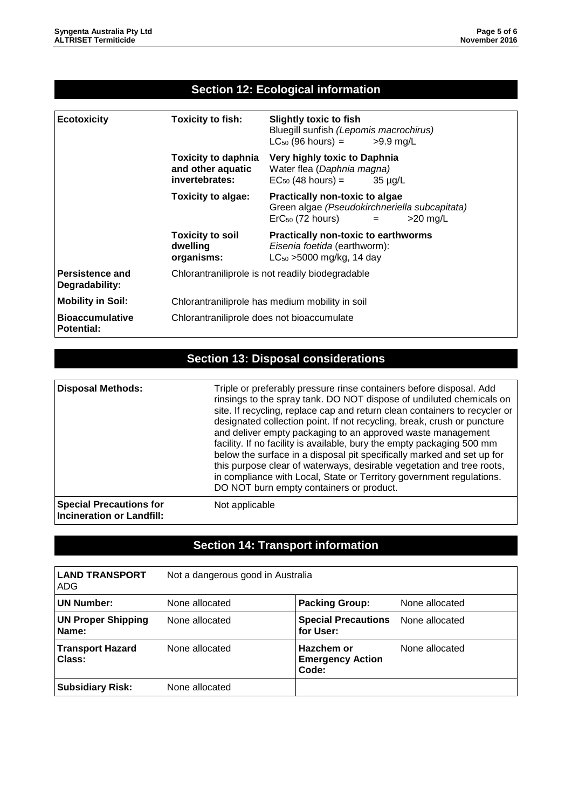### **Section 12: Ecological information**

| <b>Ecotoxicity</b>                          | <b>Toxicity to fish:</b>                                          | <b>Slightly toxic to fish</b><br>Bluegill sunfish (Lepomis macrochirus)<br>$LC_{50}$ (96 hours) $=$<br>$>9.9$ mg/L                  |
|---------------------------------------------|-------------------------------------------------------------------|-------------------------------------------------------------------------------------------------------------------------------------|
|                                             | <b>Toxicity to daphnia</b><br>and other aquatic<br>invertebrates: | Very highly toxic to Daphnia<br>Water flea (Daphnia magna)<br>$EC_{50}$ (48 hours) =<br>35 µg/L                                     |
|                                             | Toxicity to algae:                                                | Practically non-toxic to algae<br>Green algae (Pseudokirchneriella subcapitata)<br>$\textsf{ErC}_{50}$ (72 hours) $=$<br>$>20$ mg/L |
|                                             | <b>Toxicity to soil</b><br>dwelling<br>organisms:                 | Practically non-toxic to earthworms<br>Eisenia foetida (earthworm):<br>$LC_{50}$ >5000 mg/kg, 14 day                                |
| Persistence and<br>Degradability:           | Chlorantraniliprole is not readily biodegradable                  |                                                                                                                                     |
| <b>Mobility in Soil:</b>                    | Chlorantraniliprole has medium mobility in soil                   |                                                                                                                                     |
| <b>Bioaccumulative</b><br><b>Potential:</b> | Chlorantraniliprole does not bioaccumulate                        |                                                                                                                                     |

# **Section 13: Disposal considerations**

| <b>Disposal Methods:</b>                                           | Triple or preferably pressure rinse containers before disposal. Add<br>rinsings to the spray tank. DO NOT dispose of undiluted chemicals on<br>site. If recycling, replace cap and return clean containers to recycler or<br>designated collection point. If not recycling, break, crush or puncture<br>and deliver empty packaging to an approved waste management<br>facility. If no facility is available, bury the empty packaging 500 mm<br>below the surface in a disposal pit specifically marked and set up for<br>this purpose clear of waterways, desirable vegetation and tree roots,<br>in compliance with Local, State or Territory government regulations.<br>DO NOT burn empty containers or product. |
|--------------------------------------------------------------------|----------------------------------------------------------------------------------------------------------------------------------------------------------------------------------------------------------------------------------------------------------------------------------------------------------------------------------------------------------------------------------------------------------------------------------------------------------------------------------------------------------------------------------------------------------------------------------------------------------------------------------------------------------------------------------------------------------------------|
| <b>Special Precautions for</b><br><b>Incineration or Landfill:</b> | Not applicable                                                                                                                                                                                                                                                                                                                                                                                                                                                                                                                                                                                                                                                                                                       |

# **Section 14: Transport information**

| <b>LAND TRANSPORT</b><br>ADG       | Not a dangerous good in Australia |                                                |                |
|------------------------------------|-----------------------------------|------------------------------------------------|----------------|
| <b>UN Number:</b>                  | None allocated                    | <b>Packing Group:</b>                          | None allocated |
| <b>UN Proper Shipping</b><br>Name: | None allocated                    | <b>Special Precautions</b><br>for User:        | None allocated |
| <b>Transport Hazard</b><br>Class:  | None allocated                    | Hazchem or<br><b>Emergency Action</b><br>Code: | None allocated |
| <b>Subsidiary Risk:</b>            | None allocated                    |                                                |                |